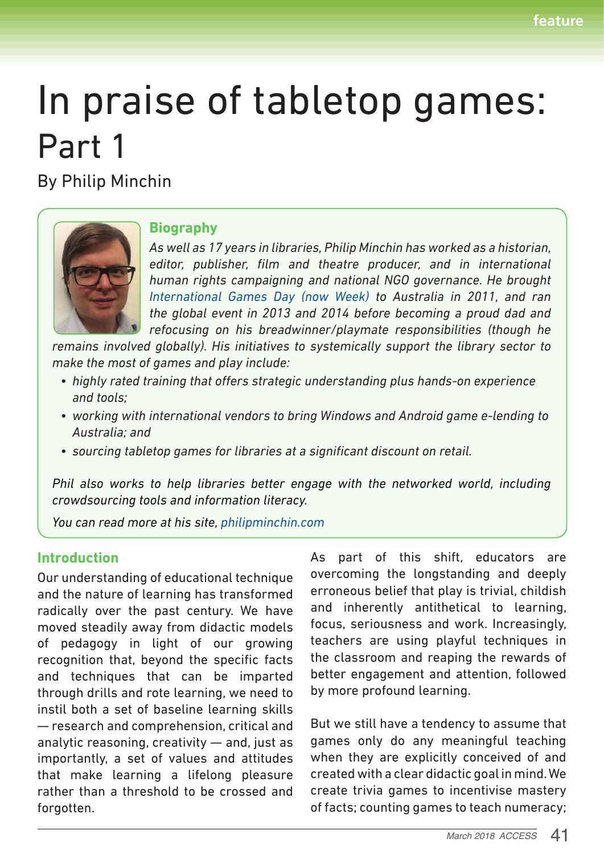# In praise of tabletop games: Part 1

By Philip Minchin



## **Biography**

*As well as 17 years in libraries, Philip Minchin has worked as a historian, editor, publisher, film and theatre producer, and in international human rights campaigning and national NGO governance. He brought International Games Day (now Week) to Australia in 2011, and ran the global event in 2013 and 2014 before becoming a proud dad and refocusing on his breadwinner/playmate responsibilities (though he* 

*remains involved globally). His initiatives to systemically support the library sector to make the most of games and play include:*

- *• highly rated training that offers strategic understanding plus hands-on experience and tools;*
- *• working with international vendors to bring Windows and Android game e-lending to Australia; and*
- *• sourcing tabletop games for libraries at a significant discount on retail.*

*Phil also works to help libraries better engage with the networked world, including crowdsourcing tools and information literacy.*

*You can read more at his site, philipminchin.com*

## **Introduction**

Our understanding of educational technique and the nature of learning has transformed radically over the past century. We have moved steadily away from didactic models of pedagogy in light of our growing recognition that, beyond the specific facts and techniques that can be imparted through drills and rote learning, we need to instil both a set of baseline learning skills — research and comprehension, critical and analytic reasoning, creativity — and, just as importantly, a set of values and attitudes that make learning a lifelong pleasure rather than a threshold to be crossed and forgotten.

As part of this shift, educators are overcoming the longstanding and deeply erroneous belief that play is trivial, childish and inherently antithetical to learning, focus, seriousness and work. Increasingly, teachers are using playful techniques in the classroom and reaping the rewards of better engagement and attention, followed by more profound learning.

But we still have a tendency to assume that games only do any meaningful teaching when they are explicitly conceived of and created with a clear didactic goal in mind. We create trivia games to incentivise mastery of facts; counting games to teach numeracy;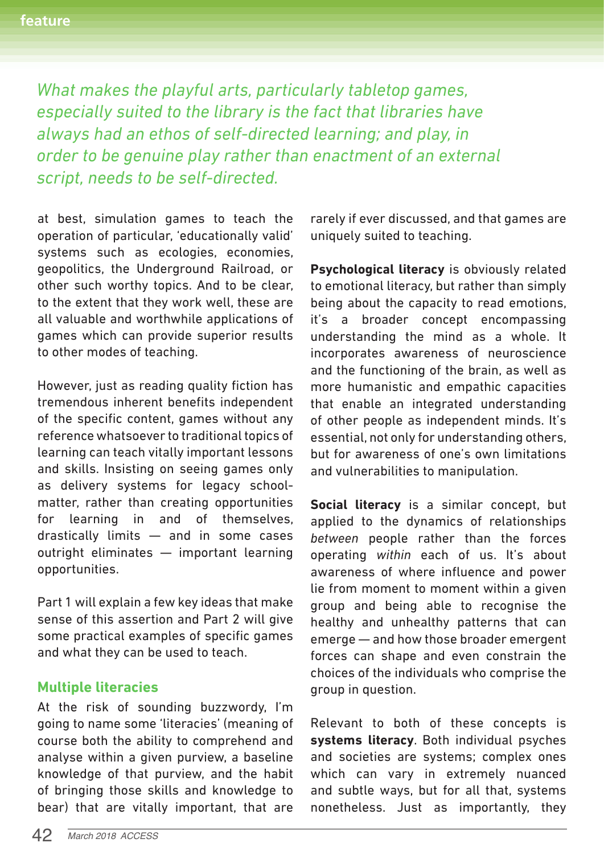*What makes the playful arts, particularly tabletop games, especially suited to the library is the fact that libraries have always had an ethos of self-directed learning; and play, in order to be genuine play rather than enactment of an external script, needs to be self-directed.* 

at best, simulation games to teach the operation of particular, 'educationally valid' systems such as ecologies, economies, geopolitics, the Underground Railroad, or other such worthy topics. And to be clear, to the extent that they work well, these are all valuable and worthwhile applications of games which can provide superior results to other modes of teaching.

However, just as reading quality fiction has tremendous inherent benefits independent of the specific content, games without any reference whatsoever to traditional topics of learning can teach vitally important lessons and skills. Insisting on seeing games only as delivery systems for legacy schoolmatter, rather than creating opportunities for learning in and of themselves, drastically limits — and in some cases outright eliminates — important learning opportunities.

Part 1 will explain a few key ideas that make sense of this assertion and Part 2 will give some practical examples of specific games and what they can be used to teach.

## **Multiple literacies**

At the risk of sounding buzzwordy, I'm going to name some 'literacies' (meaning of course both the ability to comprehend and analyse within a given purview, a baseline knowledge of that purview, and the habit of bringing those skills and knowledge to bear) that are vitally important, that are rarely if ever discussed, and that games are uniquely suited to teaching.

**Psychological literacy** is obviously related to emotional literacy, but rather than simply being about the capacity to read emotions, it's a broader concept encompassing understanding the mind as a whole. It incorporates awareness of neuroscience and the functioning of the brain, as well as more humanistic and empathic capacities that enable an integrated understanding of other people as independent minds. It's essential, not only for understanding others, but for awareness of one's own limitations and vulnerabilities to manipulation.

**Social literacy** is a similar concept, but applied to the dynamics of relationships *between* people rather than the forces operating *within* each of us. It's about awareness of where influence and power lie from moment to moment within a given group and being able to recognise the healthy and unhealthy patterns that can emerge — and how those broader emergent forces can shape and even constrain the choices of the individuals who comprise the group in question.

Relevant to both of these concepts is **systems literacy**. Both individual psyches and societies are systems; complex ones which can vary in extremely nuanced and subtle ways, but for all that, systems nonetheless. Just as importantly, they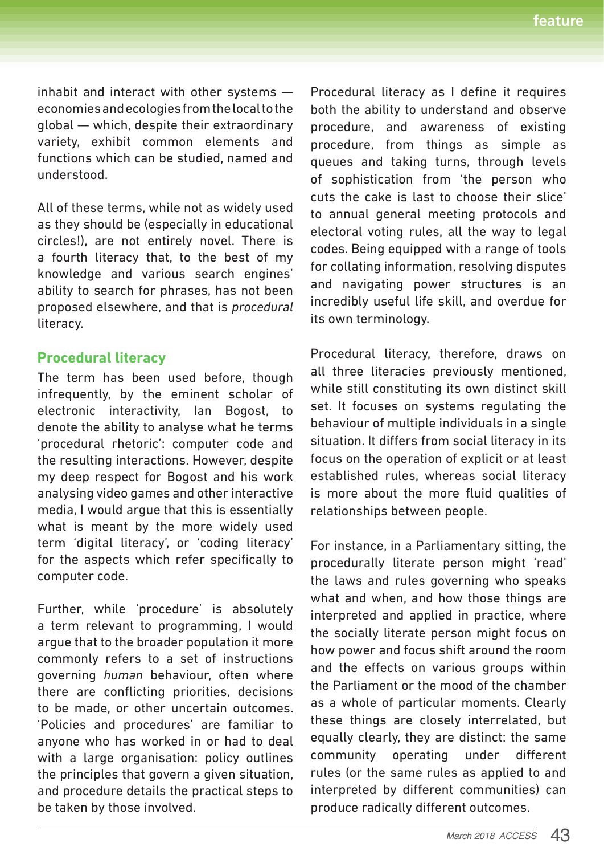inhabit and interact with other systems economies and ecologies from the local to the global — which, despite their extraordinary variety, exhibit common elements and functions which can be studied, named and understood.

All of these terms, while not as widely used as they should be (especially in educational circles!), are not entirely novel. There is a fourth literacy that, to the best of my knowledge and various search engines' ability to search for phrases, has not been proposed elsewhere, and that is *procedural* literacy.

## **Procedural literacy**

The term has been used before, though infrequently, by the eminent scholar of electronic interactivity, Ian Bogost, to denote the ability to analyse what he terms 'procedural rhetoric': computer code and the resulting interactions. However, despite my deep respect for Bogost and his work analysing video games and other interactive media, I would argue that this is essentially what is meant by the more widely used term 'digital literacy', or 'coding literacy' for the aspects which refer specifically to computer code.

Further, while 'procedure' is absolutely a term relevant to programming, I would argue that to the broader population it more commonly refers to a set of instructions governing *human* behaviour, often where there are conflicting priorities, decisions to be made, or other uncertain outcomes. 'Policies and procedures' are familiar to anyone who has worked in or had to deal with a large organisation: policy outlines the principles that govern a given situation, and procedure details the practical steps to be taken by those involved.

Procedural literacy as I define it requires both the ability to understand and observe procedure, and awareness of existing procedure, from things as simple as queues and taking turns, through levels of sophistication from 'the person who cuts the cake is last to choose their slice' to annual general meeting protocols and electoral voting rules, all the way to legal codes. Being equipped with a range of tools for collating information, resolving disputes and navigating power structures is an incredibly useful life skill, and overdue for its own terminology.

Procedural literacy, therefore, draws on all three literacies previously mentioned, while still constituting its own distinct skill set. It focuses on systems regulating the behaviour of multiple individuals in a single situation. It differs from social literacy in its focus on the operation of explicit or at least established rules, whereas social literacy is more about the more fluid qualities of relationships between people.

For instance, in a Parliamentary sitting, the procedurally literate person might 'read' the laws and rules governing who speaks what and when, and how those things are interpreted and applied in practice, where the socially literate person might focus on how power and focus shift around the room and the effects on various groups within the Parliament or the mood of the chamber as a whole of particular moments. Clearly these things are closely interrelated, but equally clearly, they are distinct: the same community operating under different rules (or the same rules as applied to and interpreted by different communities) can produce radically different outcomes.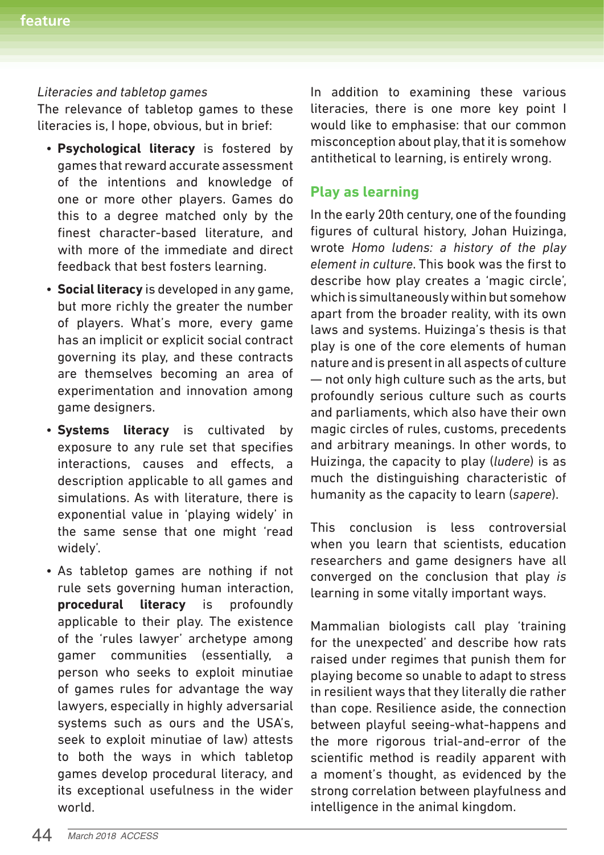#### *Literacies and tabletop games*

The relevance of tabletop games to these literacies is, I hope, obvious, but in brief:

- **Psychological literacy** is fostered by games that reward accurate assessment of the intentions and knowledge of one or more other players. Games do this to a degree matched only by the finest character-based literature, and with more of the immediate and direct feedback that best fosters learning.
- **Social literacy** is developed in any game, but more richly the greater the number of players. What's more, every game has an implicit or explicit social contract governing its play, and these contracts are themselves becoming an area of experimentation and innovation among game designers.
- **Systems literacy** is cultivated by exposure to any rule set that specifies interactions, causes and effects, a description applicable to all games and simulations. As with literature, there is exponential value in 'playing widely' in the same sense that one might 'read widely'.
- As tabletop games are nothing if not rule sets governing human interaction, **procedural literacy** is profoundly applicable to their play. The existence of the 'rules lawyer' archetype among gamer communities (essentially, a person who seeks to exploit minutiae of games rules for advantage the way lawyers, especially in highly adversarial systems such as ours and the USA's, seek to exploit minutiae of law) attests to both the ways in which tabletop games develop procedural literacy, and its exceptional usefulness in the wider world.

In addition to examining these various literacies, there is one more key point I would like to emphasise: that our common misconception about play, that it is somehow antithetical to learning, is entirely wrong.

# **Play as learning**

In the early 20th century, one of the founding figures of cultural history, Johan Huizinga, wrote *Homo ludens: a history of the play element in culture*. This book was the first to describe how play creates a 'magic circle', which is simultaneously within but somehow apart from the broader reality, with its own laws and systems. Huizinga's thesis is that play is one of the core elements of human nature and is present in all aspects of culture — not only high culture such as the arts, but profoundly serious culture such as courts and parliaments, which also have their own magic circles of rules, customs, precedents and arbitrary meanings. In other words, to Huizinga, the capacity to play (*ludere*) is as much the distinguishing characteristic of humanity as the capacity to learn (*sapere*).

This conclusion is less controversial when you learn that scientists, education researchers and game designers have all converged on the conclusion that play *is* learning in some vitally important ways.

Mammalian biologists call play 'training for the unexpected' and describe how rats raised under regimes that punish them for playing become so unable to adapt to stress in resilient ways that they literally die rather than cope. Resilience aside, the connection between playful seeing-what-happens and the more rigorous trial-and-error of the scientific method is readily apparent with a moment's thought, as evidenced by the strong correlation between playfulness and intelligence in the animal kingdom.